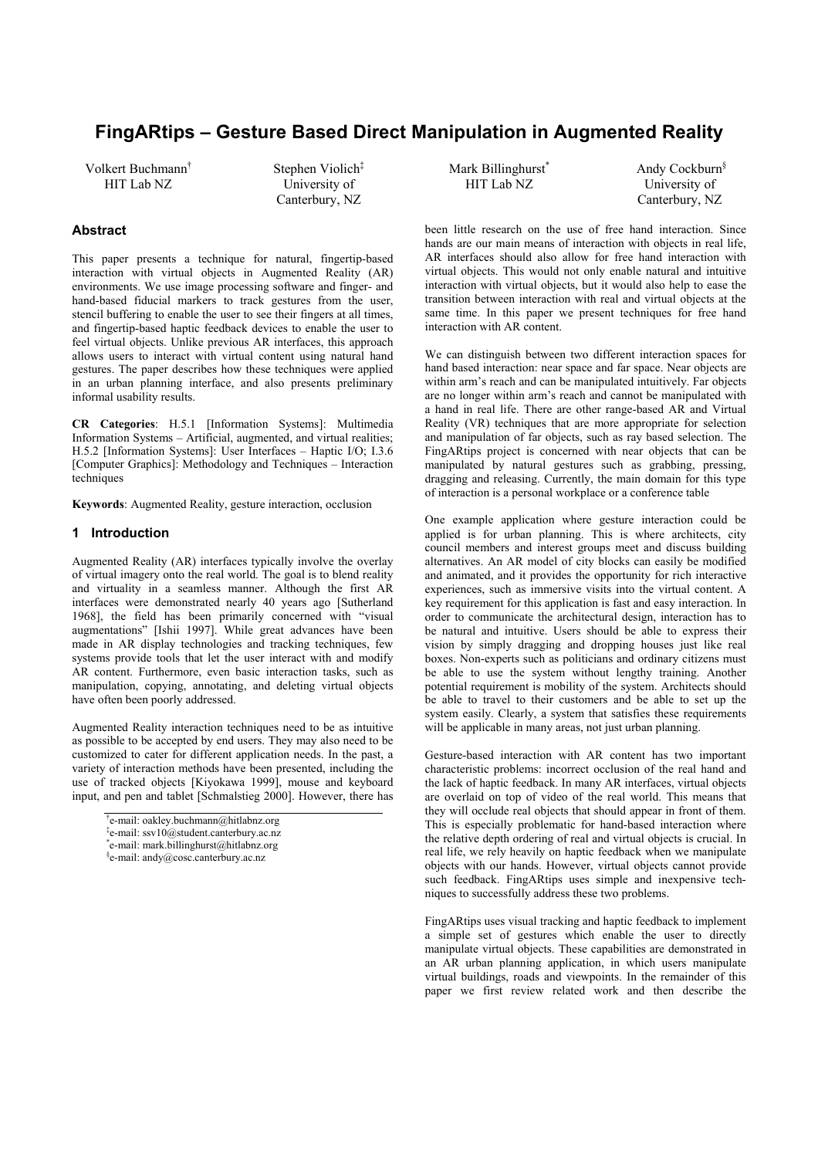# **FingARtips – Gesture Based Direct Manipulation in Augmented Reality**

Volkert Buchmann† HIT Lab NZ

Stephen Violich<sup>‡</sup> University of Canterbury, NZ

# **Abstract**

This paper presents a technique for natural, fingertip-based interaction with virtual objects in Augmented Reality (AR) environments. We use image processing software and finger- and hand-based fiducial markers to track gestures from the user, stencil buffering to enable the user to see their fingers at all times, and fingertip-based haptic feedback devices to enable the user to feel virtual objects. Unlike previous AR interfaces, this approach allows users to interact with virtual content using natural hand gestures. The paper describes how these techniques were applied in an urban planning interface, and also presents preliminary informal usability results.

**CR Categories**: H.5.1 [Information Systems]: Multimedia Information Systems – Artificial, augmented, and virtual realities; H.5.2 [Information Systems]: User Interfaces – Haptic I/O; I.3.6 [Computer Graphics]: Methodology and Techniques – Interaction techniques

**Keywords**: Augmented Reality, gesture interaction, occlusion

## **1 Introduction**

Augmented Reality (AR) interfaces typically involve the overlay of virtual imagery onto the real world. The goal is to blend reality and virtuality in a seamless manner. Although the first AR interfaces were demonstrated nearly 40 years ago [Sutherland 1968], the field has been primarily concerned with "visual augmentations" [Ishii 1997]. While great advances have been made in AR display technologies and tracking techniques, few systems provide tools that let the user interact with and modify AR content. Furthermore, even basic interaction tasks, such as manipulation, copying, annotating, and deleting virtual objects have often been poorly addressed.

Augmented Reality interaction techniques need to be as intuitive as possible to be accepted by end users. They may also need to be customized to cater for different application needs. In the past, a variety of interaction methods have been presented, including the use of tracked objects [Kiyokawa 1999], mouse and keyboard input, and pen and tablet [Schmalstieg 2000]. However, there has Mark Billinghurst<sup>\*</sup> HIT Lab NZ

 Andy Cockburn§ University of Canterbury, NZ

been little research on the use of free hand interaction. Since hands are our main means of interaction with objects in real life, AR interfaces should also allow for free hand interaction with virtual objects. This would not only enable natural and intuitive interaction with virtual objects, but it would also help to ease the transition between interaction with real and virtual objects at the same time. In this paper we present techniques for free hand interaction with AR content.

We can distinguish between two different interaction spaces for hand based interaction: near space and far space. Near objects are within arm's reach and can be manipulated intuitively. Far objects are no longer within arm's reach and cannot be manipulated with a hand in real life. There are other range-based AR and Virtual Reality (VR) techniques that are more appropriate for selection and manipulation of far objects, such as ray based selection. The FingARtips project is concerned with near objects that can be manipulated by natural gestures such as grabbing, pressing, dragging and releasing. Currently, the main domain for this type of interaction is a personal workplace or a conference table

One example application where gesture interaction could be applied is for urban planning. This is where architects, city council members and interest groups meet and discuss building alternatives. An AR model of city blocks can easily be modified and animated, and it provides the opportunity for rich interactive experiences, such as immersive visits into the virtual content. A key requirement for this application is fast and easy interaction. In order to communicate the architectural design, interaction has to be natural and intuitive. Users should be able to express their vision by simply dragging and dropping houses just like real boxes. Non-experts such as politicians and ordinary citizens must be able to use the system without lengthy training. Another potential requirement is mobility of the system. Architects should be able to travel to their customers and be able to set up the system easily. Clearly, a system that satisfies these requirements will be applicable in many areas, not just urban planning.

Gesture-based interaction with AR content has two important characteristic problems: incorrect occlusion of the real hand and the lack of haptic feedback. In many AR interfaces, virtual objects are overlaid on top of video of the real world. This means that they will occlude real objects that should appear in front of them. This is especially problematic for hand-based interaction where the relative depth ordering of real and virtual objects is crucial. In real life, we rely heavily on haptic feedback when we manipulate objects with our hands. However, virtual objects cannot provide such feedback. FingARtips uses simple and inexpensive techniques to successfully address these two problems.

FingARtips uses visual tracking and haptic feedback to implement a simple set of gestures which enable the user to directly manipulate virtual objects. These capabilities are demonstrated in an AR urban planning application, in which users manipulate virtual buildings, roads and viewpoints. In the remainder of this paper we first review related work and then describe the

<sup>†</sup> e-mail: oakley.buchmann@hitlabnz.org

<sup>‡</sup> e-mail: ssv10@student.canterbury.ac.nz

<sup>\*</sup> e-mail: mark.billinghurst@hitlabnz.org

<sup>§</sup> e-mail: andy@cosc.canterbury.ac.nz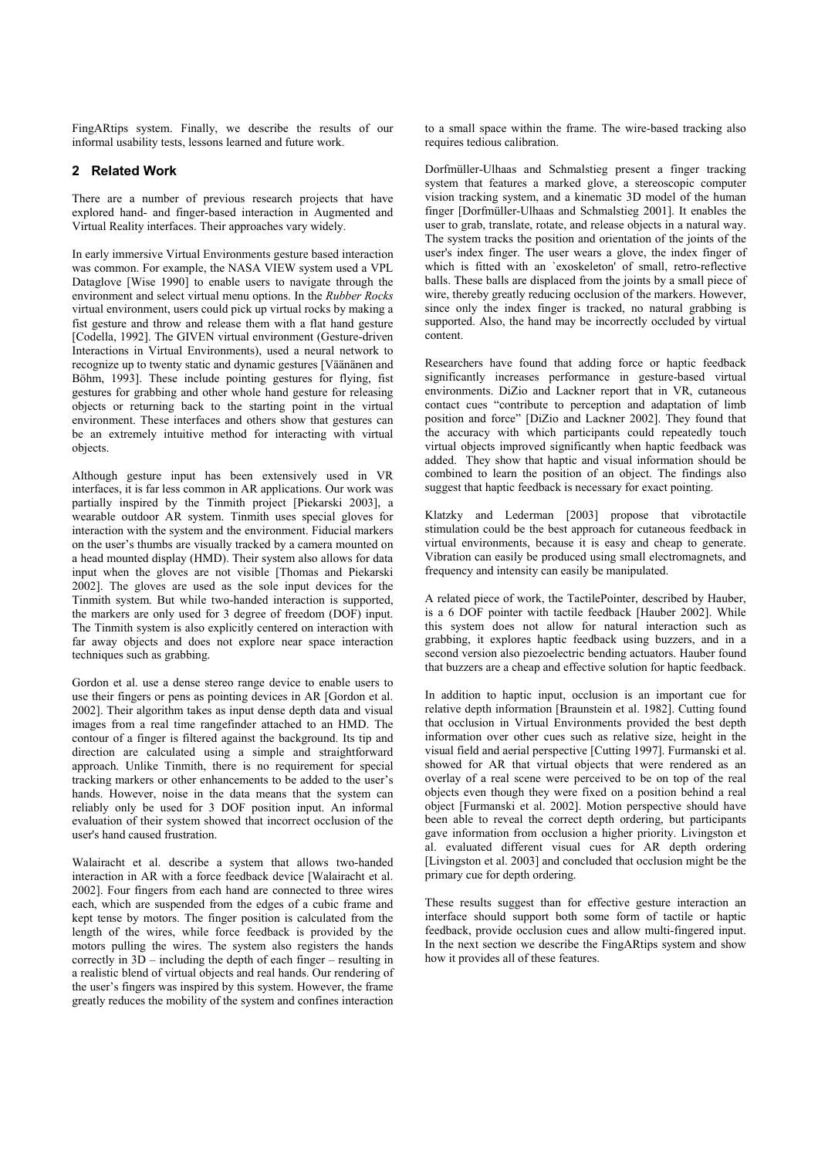FingARtips system. Finally, we describe the results of our informal usability tests, lessons learned and future work.

### **2 Related Work**

There are a number of previous research projects that have explored hand- and finger-based interaction in Augmented and Virtual Reality interfaces. Their approaches vary widely.

In early immersive Virtual Environments gesture based interaction was common. For example, the NASA VIEW system used a VPL Dataglove [Wise 1990] to enable users to navigate through the environment and select virtual menu options. In the *Rubber Rocks* virtual environment, users could pick up virtual rocks by making a fist gesture and throw and release them with a flat hand gesture [Codella, 1992]. The GIVEN virtual environment (Gesture-driven Interactions in Virtual Environments), used a neural network to recognize up to twenty static and dynamic gestures [Väänänen and Böhm, 1993]. These include pointing gestures for flying, fist gestures for grabbing and other whole hand gesture for releasing objects or returning back to the starting point in the virtual environment. These interfaces and others show that gestures can be an extremely intuitive method for interacting with virtual objects.

Although gesture input has been extensively used in VR interfaces, it is far less common in AR applications. Our work was partially inspired by the Tinmith project [Piekarski 2003], a wearable outdoor AR system. Tinmith uses special gloves for interaction with the system and the environment. Fiducial markers on the user's thumbs are visually tracked by a camera mounted on a head mounted display (HMD). Their system also allows for data input when the gloves are not visible [Thomas and Piekarski 2002]. The gloves are used as the sole input devices for the Tinmith system. But while two-handed interaction is supported, the markers are only used for 3 degree of freedom (DOF) input. The Tinmith system is also explicitly centered on interaction with far away objects and does not explore near space interaction techniques such as grabbing.

Gordon et al. use a dense stereo range device to enable users to use their fingers or pens as pointing devices in AR [Gordon et al. 2002]. Their algorithm takes as input dense depth data and visual images from a real time rangefinder attached to an HMD. The contour of a finger is filtered against the background. Its tip and direction are calculated using a simple and straightforward approach. Unlike Tinmith, there is no requirement for special tracking markers or other enhancements to be added to the user's hands. However, noise in the data means that the system can reliably only be used for 3 DOF position input. An informal evaluation of their system showed that incorrect occlusion of the user's hand caused frustration.

Walairacht et al. describe a system that allows two-handed interaction in AR with a force feedback device [Walairacht et al. 2002]. Four fingers from each hand are connected to three wires each, which are suspended from the edges of a cubic frame and kept tense by motors. The finger position is calculated from the length of the wires, while force feedback is provided by the motors pulling the wires. The system also registers the hands correctly in  $3D$  – including the depth of each finger – resulting in a realistic blend of virtual objects and real hands. Our rendering of the user's fingers was inspired by this system. However, the frame greatly reduces the mobility of the system and confines interaction

to a small space within the frame. The wire-based tracking also requires tedious calibration.

Dorfmüller-Ulhaas and Schmalstieg present a finger tracking system that features a marked glove, a stereoscopic computer vision tracking system, and a kinematic 3D model of the human finger [Dorfmüller-Ulhaas and Schmalstieg 2001]. It enables the user to grab, translate, rotate, and release objects in a natural way. The system tracks the position and orientation of the joints of the user's index finger. The user wears a glove, the index finger of which is fitted with an `exoskeleton' of small, retro-reflective balls. These balls are displaced from the joints by a small piece of wire, thereby greatly reducing occlusion of the markers. However, since only the index finger is tracked, no natural grabbing is supported. Also, the hand may be incorrectly occluded by virtual content.

Researchers have found that adding force or haptic feedback significantly increases performance in gesture-based virtual environments. DiZio and Lackner report that in VR, cutaneous contact cues "contribute to perception and adaptation of limb position and force" [DiZio and Lackner 2002]. They found that the accuracy with which participants could repeatedly touch virtual objects improved significantly when haptic feedback was added. They show that haptic and visual information should be combined to learn the position of an object. The findings also suggest that haptic feedback is necessary for exact pointing.

Klatzky and Lederman [2003] propose that vibrotactile stimulation could be the best approach for cutaneous feedback in virtual environments, because it is easy and cheap to generate. Vibration can easily be produced using small electromagnets, and frequency and intensity can easily be manipulated.

A related piece of work, the TactilePointer, described by Hauber, is a 6 DOF pointer with tactile feedback [Hauber 2002]. While this system does not allow for natural interaction such as grabbing, it explores haptic feedback using buzzers, and in a second version also piezoelectric bending actuators. Hauber found that buzzers are a cheap and effective solution for haptic feedback.

In addition to haptic input, occlusion is an important cue for relative depth information [Braunstein et al. 1982]. Cutting found that occlusion in Virtual Environments provided the best depth information over other cues such as relative size, height in the visual field and aerial perspective [Cutting 1997]. Furmanski et al. showed for AR that virtual objects that were rendered as an overlay of a real scene were perceived to be on top of the real objects even though they were fixed on a position behind a real object [Furmanski et al. 2002]. Motion perspective should have been able to reveal the correct depth ordering, but participants gave information from occlusion a higher priority. Livingston et al. evaluated different visual cues for AR depth ordering [Livingston et al. 2003] and concluded that occlusion might be the primary cue for depth ordering.

These results suggest than for effective gesture interaction an interface should support both some form of tactile or haptic feedback, provide occlusion cues and allow multi-fingered input. In the next section we describe the FingARtips system and show how it provides all of these features.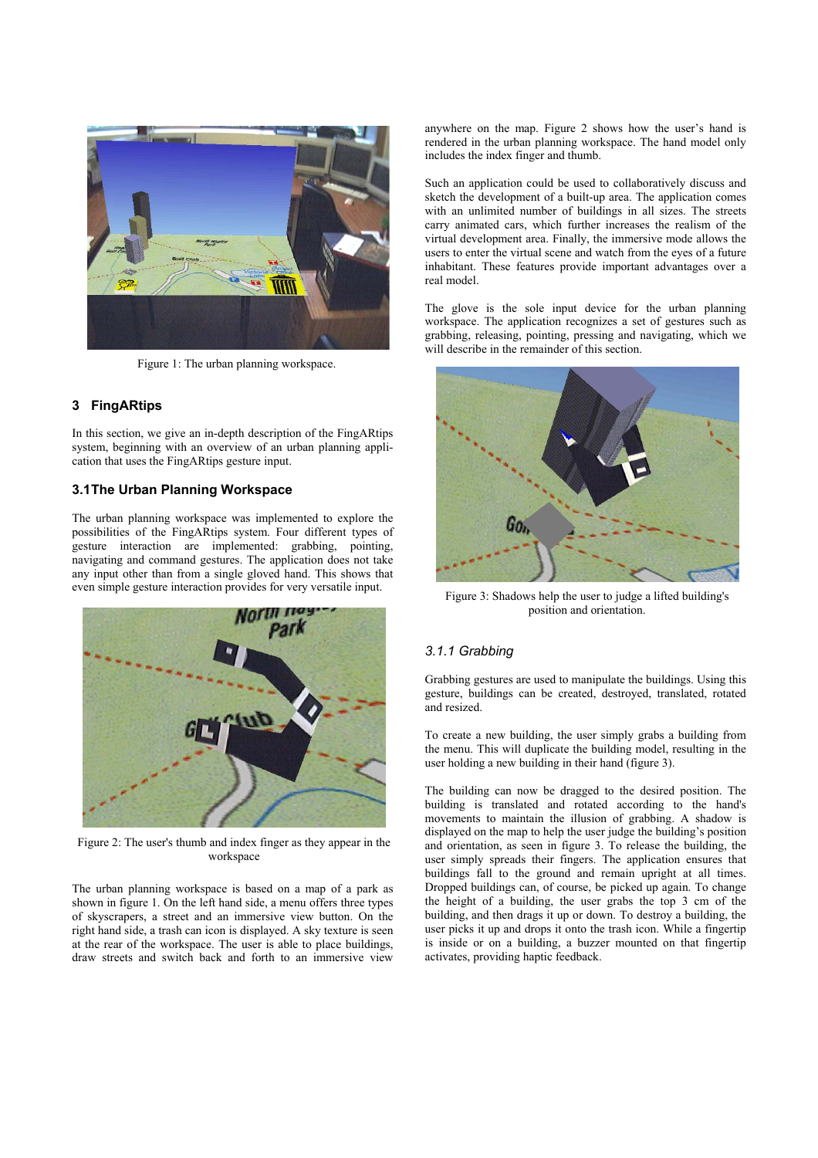

Figure 1: The urban planning workspace.

# **3 FingARtips**

In this section, we give an in-depth description of the FingARtips system, beginning with an overview of an urban planning application that uses the FingARtips gesture input.

# **3.1 The Urban Planning Workspace**

The urban planning workspace was implemented to explore the possibilities of the FingARtips system. Four different types of gesture interaction are implemented: grabbing, pointing, navigating and command gestures. The application does not take any input other than from a single gloved hand. This shows that even simple gesture interaction provides for very versatile input.



Figure 2: The user's thumb and index finger as they appear in the workspace

The urban planning workspace is based on a map of a park as shown in figure 1. On the left hand side, a menu offers three types of skyscrapers, a street and an immersive view button. On the right hand side, a trash can icon is displayed. A sky texture is seen at the rear of the workspace. The user is able to place buildings, draw streets and switch back and forth to an immersive view anywhere on the map. Figure 2 shows how the user's hand is rendered in the urban planning workspace. The hand model only includes the index finger and thumb.

Such an application could be used to collaboratively discuss and sketch the development of a built-up area. The application comes with an unlimited number of buildings in all sizes. The streets carry animated cars, which further increases the realism of the virtual development area. Finally, the immersive mode allows the users to enter the virtual scene and watch from the eyes of a future inhabitant. These features provide important advantages over a real model.

The glove is the sole input device for the urban planning workspace. The application recognizes a set of gestures such as grabbing, releasing, pointing, pressing and navigating, which we will describe in the remainder of this section.



Figure 3: Shadows help the user to judge a lifted building's position and orientation.

#### *3.1.1 Grabbing*

Grabbing gestures are used to manipulate the buildings. Using this gesture, buildings can be created, destroyed, translated, rotated and resized.

To create a new building, the user simply grabs a building from the menu. This will duplicate the building model, resulting in the user holding a new building in their hand (figure 3).

The building can now be dragged to the desired position. The building is translated and rotated according to the hand's movements to maintain the illusion of grabbing. A shadow is displayed on the map to help the user judge the building's position and orientation, as seen in figure 3. To release the building, the user simply spreads their fingers. The application ensures that buildings fall to the ground and remain upright at all times. Dropped buildings can, of course, be picked up again. To change the height of a building, the user grabs the top 3 cm of the building, and then drags it up or down. To destroy a building, the user picks it up and drops it onto the trash icon. While a fingertip is inside or on a building, a buzzer mounted on that fingertip activates, providing haptic feedback.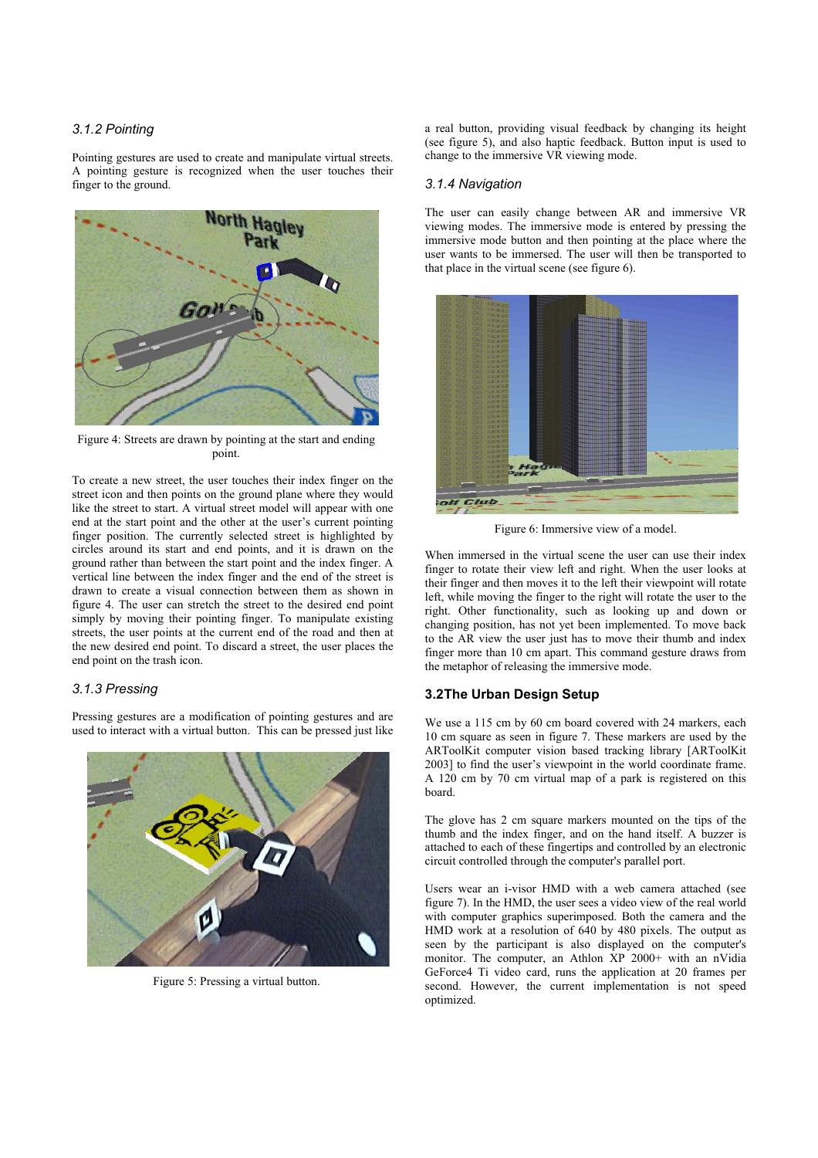## *3.1.2 Pointing*

Pointing gestures are used to create and manipulate virtual streets. A pointing gesture is recognized when the user touches their finger to the ground.



Figure 4: Streets are drawn by pointing at the start and ending point.

To create a new street, the user touches their index finger on the street icon and then points on the ground plane where they would like the street to start. A virtual street model will appear with one end at the start point and the other at the user's current pointing finger position. The currently selected street is highlighted by circles around its start and end points, and it is drawn on the ground rather than between the start point and the index finger. A vertical line between the index finger and the end of the street is drawn to create a visual connection between them as shown in figure 4. The user can stretch the street to the desired end point simply by moving their pointing finger. To manipulate existing streets, the user points at the current end of the road and then at the new desired end point. To discard a street, the user places the end point on the trash icon.

# *3.1.3 Pressing*

Pressing gestures are a modification of pointing gestures and are used to interact with a virtual button. This can be pressed just like



Figure 5: Pressing a virtual button.

a real button, providing visual feedback by changing its height (see figure 5), and also haptic feedback. Button input is used to change to the immersive VR viewing mode.

#### *3.1.4 Navigation*

The user can easily change between AR and immersive VR viewing modes. The immersive mode is entered by pressing the immersive mode button and then pointing at the place where the user wants to be immersed. The user will then be transported to that place in the virtual scene (see figure 6).



Figure 6: Immersive view of a model.

When immersed in the virtual scene the user can use their index finger to rotate their view left and right. When the user looks at their finger and then moves it to the left their viewpoint will rotate left, while moving the finger to the right will rotate the user to the right. Other functionality, such as looking up and down or changing position, has not yet been implemented. To move back to the AR view the user just has to move their thumb and index finger more than 10 cm apart. This command gesture draws from the metaphor of releasing the immersive mode.

### **3.2 The Urban Design Setup**

We use a 115 cm by 60 cm board covered with 24 markers, each 10 cm square as seen in figure 7. These markers are used by the ARToolKit computer vision based tracking library [ARToolKit 2003] to find the user's viewpoint in the world coordinate frame. A 120 cm by 70 cm virtual map of a park is registered on this board.

The glove has 2 cm square markers mounted on the tips of the thumb and the index finger, and on the hand itself. A buzzer is attached to each of these fingertips and controlled by an electronic circuit controlled through the computer's parallel port.

Users wear an i-visor HMD with a web camera attached (see figure 7). In the HMD, the user sees a video view of the real world with computer graphics superimposed. Both the camera and the HMD work at a resolution of 640 by 480 pixels. The output as seen by the participant is also displayed on the computer's monitor. The computer, an Athlon XP 2000+ with an nVidia GeForce4 Ti video card, runs the application at 20 frames per second. However, the current implementation is not speed optimized.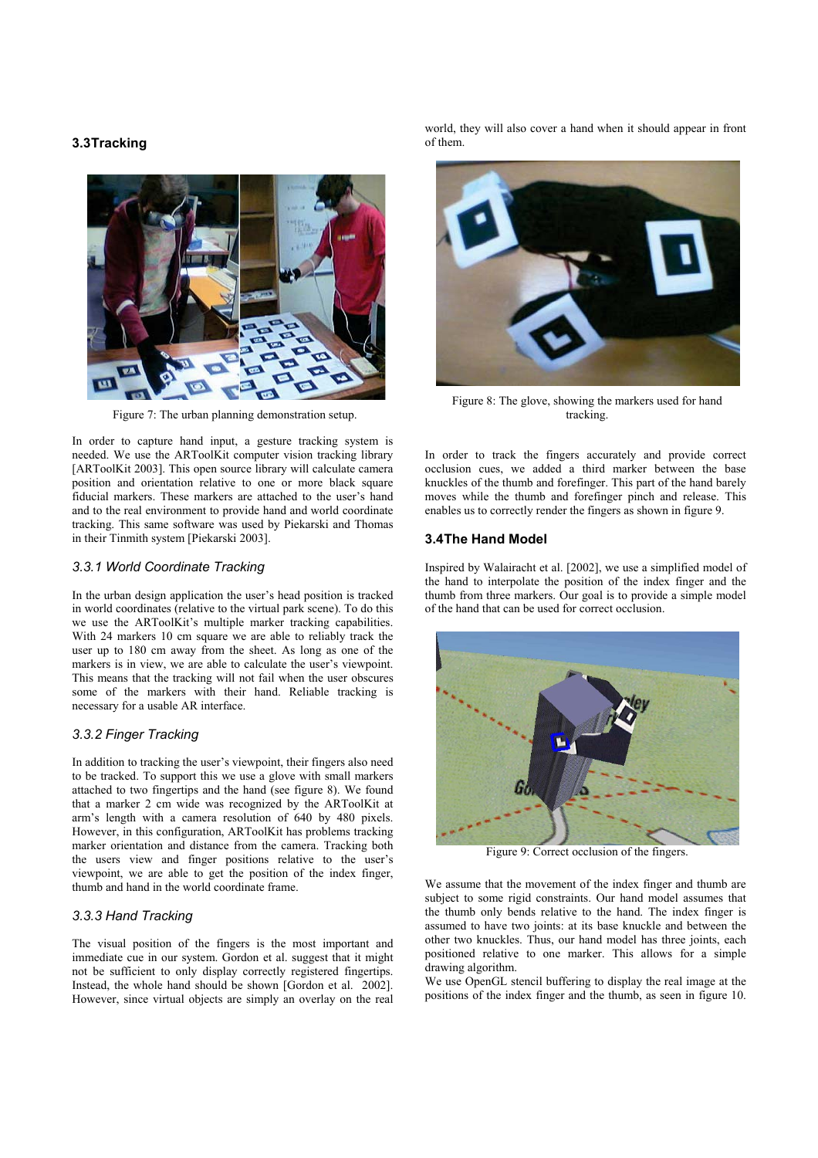# **3.3 Tracking**



Figure 7: The urban planning demonstration setup.

In order to capture hand input, a gesture tracking system is needed. We use the ARToolKit computer vision tracking library [ARToolKit 2003]. This open source library will calculate camera position and orientation relative to one or more black square fiducial markers. These markers are attached to the user's hand and to the real environment to provide hand and world coordinate tracking. This same software was used by Piekarski and Thomas in their Tinmith system [Piekarski 2003].

#### *3.3.1 World Coordinate Tracking*

In the urban design application the user's head position is tracked in world coordinates (relative to the virtual park scene). To do this we use the ARToolKit's multiple marker tracking capabilities. With 24 markers 10 cm square we are able to reliably track the user up to 180 cm away from the sheet. As long as one of the markers is in view, we are able to calculate the user's viewpoint. This means that the tracking will not fail when the user obscures some of the markers with their hand. Reliable tracking is necessary for a usable AR interface.

#### *3.3.2 Finger Tracking*

In addition to tracking the user's viewpoint, their fingers also need to be tracked. To support this we use a glove with small markers attached to two fingertips and the hand (see figure 8). We found that a marker 2 cm wide was recognized by the ARToolKit at arm's length with a camera resolution of 640 by 480 pixels. However, in this configuration, ARToolKit has problems tracking marker orientation and distance from the camera. Tracking both the users view and finger positions relative to the user's viewpoint, we are able to get the position of the index finger, thumb and hand in the world coordinate frame.

#### *3.3.3 Hand Tracking*

The visual position of the fingers is the most important and immediate cue in our system. Gordon et al. suggest that it might not be sufficient to only display correctly registered fingertips. Instead, the whole hand should be shown [Gordon et al. 2002]. However, since virtual objects are simply an overlay on the real world, they will also cover a hand when it should appear in front of them.



Figure 8: The glove, showing the markers used for hand tracking.

In order to track the fingers accurately and provide correct occlusion cues, we added a third marker between the base knuckles of the thumb and forefinger. This part of the hand barely moves while the thumb and forefinger pinch and release. This enables us to correctly render the fingers as shown in figure 9.

#### **3.4 The Hand Model**

Inspired by Walairacht et al. [2002], we use a simplified model of the hand to interpolate the position of the index finger and the thumb from three markers. Our goal is to provide a simple model of the hand that can be used for correct occlusion.



Figure 9: Correct occlusion of the fingers.

We assume that the movement of the index finger and thumb are subject to some rigid constraints. Our hand model assumes that the thumb only bends relative to the hand. The index finger is assumed to have two joints: at its base knuckle and between the other two knuckles. Thus, our hand model has three joints, each positioned relative to one marker. This allows for a simple drawing algorithm.

We use OpenGL stencil buffering to display the real image at the positions of the index finger and the thumb, as seen in figure 10.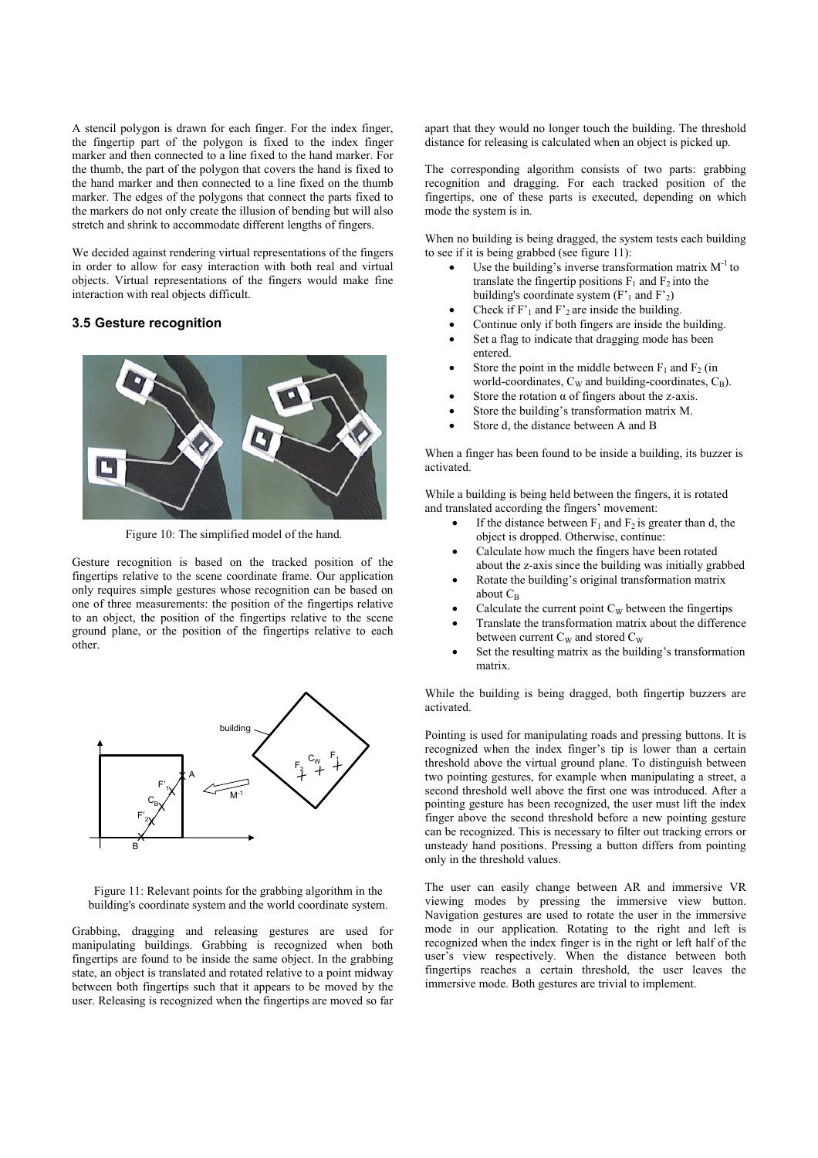A stencil polygon is drawn for each finger. For the index finger, the fingertip part of the polygon is fixed to the index finger marker and then connected to a line fixed to the hand marker. For the thumb, the part of the polygon that covers the hand is fixed to the hand marker and then connected to a line fixed on the thumb marker. The edges of the polygons that connect the parts fixed to the markers do not only create the illusion of bending but will also stretch and shrink to accommodate different lengths of fingers.

We decided against rendering virtual representations of the fingers in order to allow for easy interaction with both real and virtual objects. Virtual representations of the fingers would make fine interaction with real objects difficult.

# **3.5 Gesture recognition**



Figure 10: The simplified model of the hand.

Gesture recognition is based on the tracked position of the fingertips relative to the scene coordinate frame. Our application only requires simple gestures whose recognition can be based on one of three measurements: the position of the fingertips relative to an object, the position of the fingertips relative to the scene ground plane, or the position of the fingertips relative to each other.



Figure 11: Relevant points for the grabbing algorithm in the building's coordinate system and the world coordinate system.

Grabbing, dragging and releasing gestures are used for manipulating buildings. Grabbing is recognized when both fingertips are found to be inside the same object. In the grabbing state, an object is translated and rotated relative to a point midway between both fingertips such that it appears to be moved by the user. Releasing is recognized when the fingertips are moved so far apart that they would no longer touch the building. The threshold distance for releasing is calculated when an object is picked up.

The corresponding algorithm consists of two parts: grabbing recognition and dragging. For each tracked position of the fingertips, one of these parts is executed, depending on which mode the system is in.

When no building is being dragged, the system tests each building to see if it is being grabbed (see figure 11):

- Use the building's inverse transformation matrix  $M^{-1}$  to translate the fingertip positions  $F_1$  and  $F_2$  into the building's coordinate system  $(F'_1$  and  $F'_2)$
- Check if  $F'_1$  and  $F'_2$  are inside the building.
- Continue only if both fingers are inside the building.
- Set a flag to indicate that dragging mode has been entered.
- Store the point in the middle between  $F_1$  and  $F_2$  (in world-coordinates,  $C_W$  and building-coordinates,  $C_B$ ).
- Store the rotation  $\alpha$  of fingers about the z-axis.
- Store the building's transformation matrix M.
- Store d, the distance between A and B

When a finger has been found to be inside a building, its buzzer is activated.

While a building is being held between the fingers, it is rotated and translated according the fingers' movement:

- If the distance between  $F_1$  and  $F_2$  is greater than d, the object is dropped. Otherwise, continue:
- Calculate how much the fingers have been rotated about the z-axis since the building was initially grabbed
- Rotate the building's original transformation matrix about  $C_B$
- Calculate the current point  $C_W$  between the fingertips
- Translate the transformation matrix about the difference between current  $C_W$  and stored  $C_W$
- Set the resulting matrix as the building's transformation matrix.

While the building is being dragged, both fingertip buzzers are activated.

Pointing is used for manipulating roads and pressing buttons. It is recognized when the index finger's tip is lower than a certain threshold above the virtual ground plane. To distinguish between two pointing gestures, for example when manipulating a street, a second threshold well above the first one was introduced. After a pointing gesture has been recognized, the user must lift the index finger above the second threshold before a new pointing gesture can be recognized. This is necessary to filter out tracking errors or unsteady hand positions. Pressing a button differs from pointing only in the threshold values.

The user can easily change between AR and immersive VR viewing modes by pressing the immersive view button. Navigation gestures are used to rotate the user in the immersive mode in our application. Rotating to the right and left is recognized when the index finger is in the right or left half of the user's view respectively. When the distance between both fingertips reaches a certain threshold, the user leaves the immersive mode. Both gestures are trivial to implement.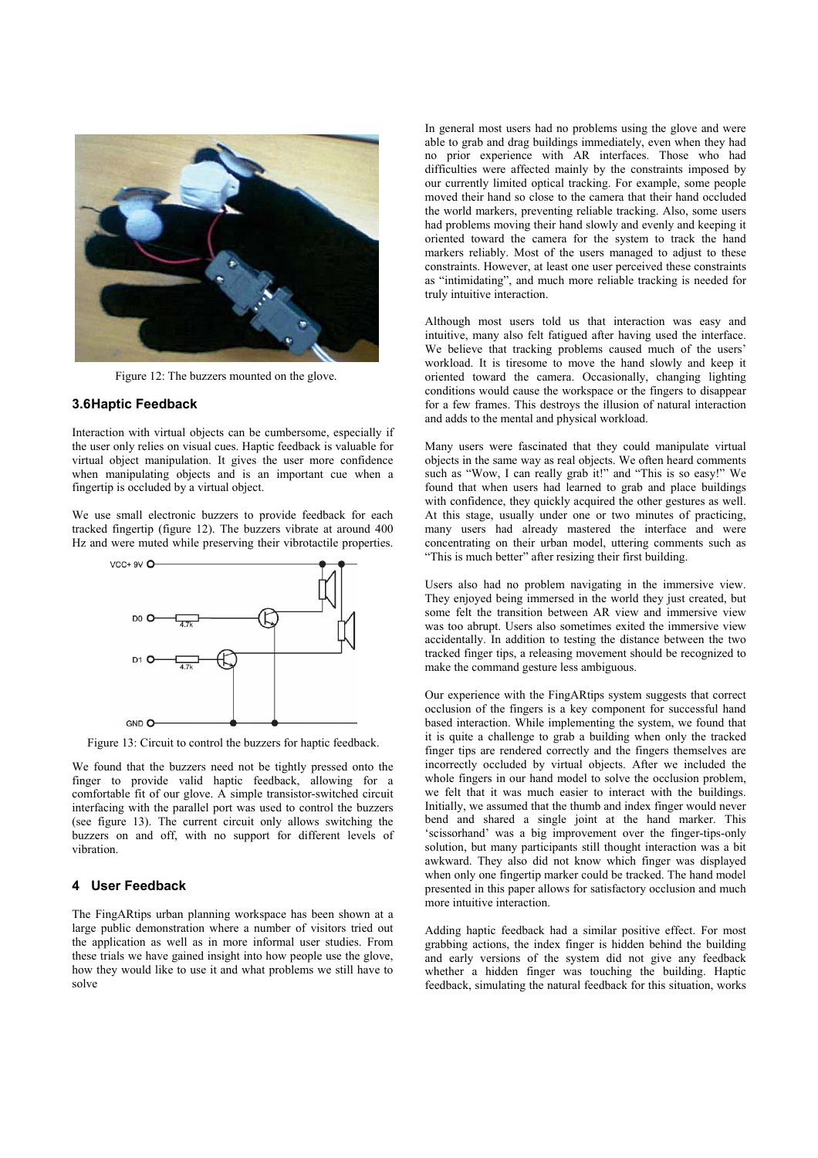

Figure 12: The buzzers mounted on the glove.

#### **3.6 Haptic Feedback**

Interaction with virtual objects can be cumbersome, especially if the user only relies on visual cues. Haptic feedback is valuable for virtual object manipulation. It gives the user more confidence when manipulating objects and is an important cue when a fingertip is occluded by a virtual object.

We use small electronic buzzers to provide feedback for each tracked fingertip (figure 12). The buzzers vibrate at around 400 Hz and were muted while preserving their vibrotactile properties.



Figure 13: Circuit to control the buzzers for haptic feedback.

We found that the buzzers need not be tightly pressed onto the finger to provide valid haptic feedback, allowing for a comfortable fit of our glove. A simple transistor-switched circuit interfacing with the parallel port was used to control the buzzers (see figure 13). The current circuit only allows switching the buzzers on and off, with no support for different levels of vibration.

## **4 User Feedback**

The FingARtips urban planning workspace has been shown at a large public demonstration where a number of visitors tried out the application as well as in more informal user studies. From these trials we have gained insight into how people use the glove, how they would like to use it and what problems we still have to solve

In general most users had no problems using the glove and were able to grab and drag buildings immediately, even when they had no prior experience with AR interfaces. Those who had difficulties were affected mainly by the constraints imposed by our currently limited optical tracking. For example, some people moved their hand so close to the camera that their hand occluded the world markers, preventing reliable tracking. Also, some users had problems moving their hand slowly and evenly and keeping it oriented toward the camera for the system to track the hand markers reliably. Most of the users managed to adjust to these constraints. However, at least one user perceived these constraints as "intimidating", and much more reliable tracking is needed for truly intuitive interaction.

Although most users told us that interaction was easy and intuitive, many also felt fatigued after having used the interface. We believe that tracking problems caused much of the users' workload. It is tiresome to move the hand slowly and keep it oriented toward the camera. Occasionally, changing lighting conditions would cause the workspace or the fingers to disappear for a few frames. This destroys the illusion of natural interaction and adds to the mental and physical workload.

Many users were fascinated that they could manipulate virtual objects in the same way as real objects. We often heard comments such as "Wow, I can really grab it!" and "This is so easy!" We found that when users had learned to grab and place buildings with confidence, they quickly acquired the other gestures as well. At this stage, usually under one or two minutes of practicing, many users had already mastered the interface and were concentrating on their urban model, uttering comments such as "This is much better" after resizing their first building.

Users also had no problem navigating in the immersive view. They enjoyed being immersed in the world they just created, but some felt the transition between AR view and immersive view was too abrupt. Users also sometimes exited the immersive view accidentally. In addition to testing the distance between the two tracked finger tips, a releasing movement should be recognized to make the command gesture less ambiguous.

Our experience with the FingARtips system suggests that correct occlusion of the fingers is a key component for successful hand based interaction. While implementing the system, we found that it is quite a challenge to grab a building when only the tracked finger tips are rendered correctly and the fingers themselves are incorrectly occluded by virtual objects. After we included the whole fingers in our hand model to solve the occlusion problem, we felt that it was much easier to interact with the buildings. Initially, we assumed that the thumb and index finger would never bend and shared a single joint at the hand marker. This 'scissorhand' was a big improvement over the finger-tips-only solution, but many participants still thought interaction was a bit awkward. They also did not know which finger was displayed when only one fingertip marker could be tracked. The hand model presented in this paper allows for satisfactory occlusion and much more intuitive interaction.

Adding haptic feedback had a similar positive effect. For most grabbing actions, the index finger is hidden behind the building and early versions of the system did not give any feedback whether a hidden finger was touching the building. Haptic feedback, simulating the natural feedback for this situation, works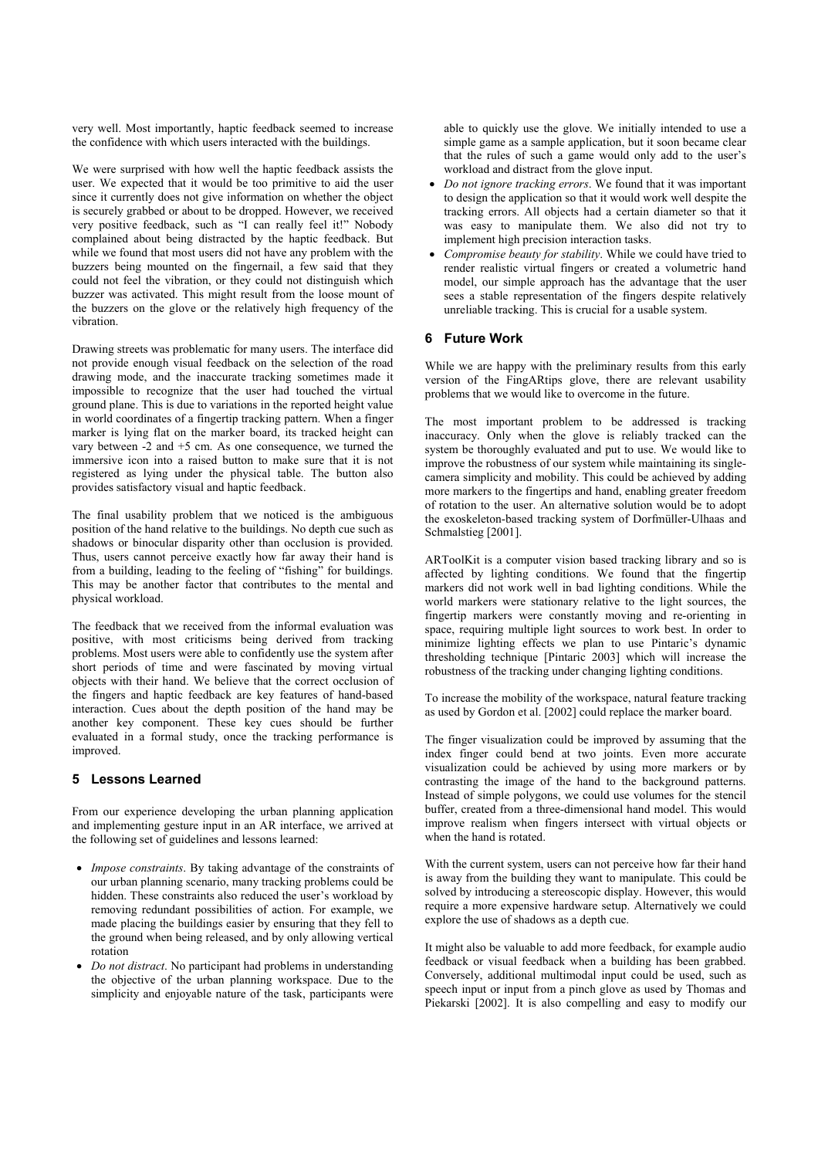very well. Most importantly, haptic feedback seemed to increase the confidence with which users interacted with the buildings.

We were surprised with how well the haptic feedback assists the user. We expected that it would be too primitive to aid the user since it currently does not give information on whether the object is securely grabbed or about to be dropped. However, we received very positive feedback, such as "I can really feel it!" Nobody complained about being distracted by the haptic feedback. But while we found that most users did not have any problem with the buzzers being mounted on the fingernail, a few said that they could not feel the vibration, or they could not distinguish which buzzer was activated. This might result from the loose mount of the buzzers on the glove or the relatively high frequency of the vibration.

Drawing streets was problematic for many users. The interface did not provide enough visual feedback on the selection of the road drawing mode, and the inaccurate tracking sometimes made it impossible to recognize that the user had touched the virtual ground plane. This is due to variations in the reported height value in world coordinates of a fingertip tracking pattern. When a finger marker is lying flat on the marker board, its tracked height can vary between -2 and +5 cm. As one consequence, we turned the immersive icon into a raised button to make sure that it is not registered as lying under the physical table. The button also provides satisfactory visual and haptic feedback.

The final usability problem that we noticed is the ambiguous position of the hand relative to the buildings. No depth cue such as shadows or binocular disparity other than occlusion is provided. Thus, users cannot perceive exactly how far away their hand is from a building, leading to the feeling of "fishing" for buildings. This may be another factor that contributes to the mental and physical workload.

The feedback that we received from the informal evaluation was positive, with most criticisms being derived from tracking problems. Most users were able to confidently use the system after short periods of time and were fascinated by moving virtual objects with their hand. We believe that the correct occlusion of the fingers and haptic feedback are key features of hand-based interaction. Cues about the depth position of the hand may be another key component. These key cues should be further evaluated in a formal study, once the tracking performance is improved.

## **5 Lessons Learned**

From our experience developing the urban planning application and implementing gesture input in an AR interface, we arrived at the following set of guidelines and lessons learned:

- *Impose constraints*. By taking advantage of the constraints of our urban planning scenario, many tracking problems could be hidden. These constraints also reduced the user's workload by removing redundant possibilities of action. For example, we made placing the buildings easier by ensuring that they fell to the ground when being released, and by only allowing vertical rotation
- *Do not distract*. No participant had problems in understanding the objective of the urban planning workspace. Due to the simplicity and enjoyable nature of the task, participants were

able to quickly use the glove. We initially intended to use a simple game as a sample application, but it soon became clear that the rules of such a game would only add to the user's workload and distract from the glove input.

- *Do not ignore tracking errors*. We found that it was important to design the application so that it would work well despite the tracking errors. All objects had a certain diameter so that it was easy to manipulate them. We also did not try to implement high precision interaction tasks.
- *Compromise beauty for stability*. While we could have tried to render realistic virtual fingers or created a volumetric hand model, our simple approach has the advantage that the user sees a stable representation of the fingers despite relatively unreliable tracking. This is crucial for a usable system.

# **6 Future Work**

While we are happy with the preliminary results from this early version of the FingARtips glove, there are relevant usability problems that we would like to overcome in the future.

The most important problem to be addressed is tracking inaccuracy. Only when the glove is reliably tracked can the system be thoroughly evaluated and put to use. We would like to improve the robustness of our system while maintaining its singlecamera simplicity and mobility. This could be achieved by adding more markers to the fingertips and hand, enabling greater freedom of rotation to the user. An alternative solution would be to adopt the exoskeleton-based tracking system of Dorfmüller-Ulhaas and Schmalstieg [2001].

ARToolKit is a computer vision based tracking library and so is affected by lighting conditions. We found that the fingertip markers did not work well in bad lighting conditions. While the world markers were stationary relative to the light sources, the fingertip markers were constantly moving and re-orienting in space, requiring multiple light sources to work best. In order to minimize lighting effects we plan to use Pintaric's dynamic thresholding technique [Pintaric 2003] which will increase the robustness of the tracking under changing lighting conditions.

To increase the mobility of the workspace, natural feature tracking as used by Gordon et al. [2002] could replace the marker board.

The finger visualization could be improved by assuming that the index finger could bend at two joints. Even more accurate visualization could be achieved by using more markers or by contrasting the image of the hand to the background patterns. Instead of simple polygons, we could use volumes for the stencil buffer, created from a three-dimensional hand model. This would improve realism when fingers intersect with virtual objects or when the hand is rotated.

With the current system, users can not perceive how far their hand is away from the building they want to manipulate. This could be solved by introducing a stereoscopic display. However, this would require a more expensive hardware setup. Alternatively we could explore the use of shadows as a depth cue.

It might also be valuable to add more feedback, for example audio feedback or visual feedback when a building has been grabbed. Conversely, additional multimodal input could be used, such as speech input or input from a pinch glove as used by Thomas and Piekarski [2002]. It is also compelling and easy to modify our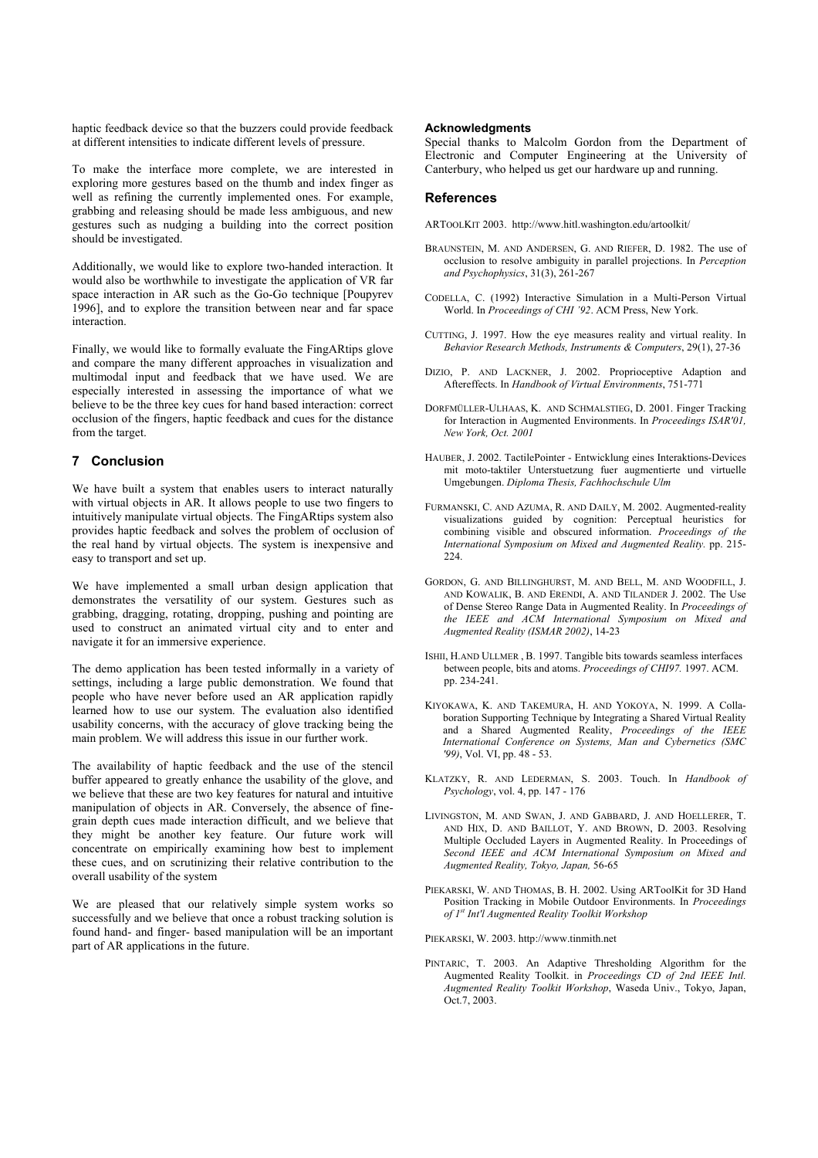haptic feedback device so that the buzzers could provide feedback at different intensities to indicate different levels of pressure.

To make the interface more complete, we are interested in exploring more gestures based on the thumb and index finger as well as refining the currently implemented ones. For example, grabbing and releasing should be made less ambiguous, and new gestures such as nudging a building into the correct position should be investigated.

Additionally, we would like to explore two-handed interaction. It would also be worthwhile to investigate the application of VR far space interaction in AR such as the Go-Go technique [Poupyrev 1996], and to explore the transition between near and far space interaction.

Finally, we would like to formally evaluate the FingARtips glove and compare the many different approaches in visualization and multimodal input and feedback that we have used. We are especially interested in assessing the importance of what we believe to be the three key cues for hand based interaction: correct occlusion of the fingers, haptic feedback and cues for the distance from the target.

# **7 Conclusion**

We have built a system that enables users to interact naturally with virtual objects in AR. It allows people to use two fingers to intuitively manipulate virtual objects. The FingARtips system also provides haptic feedback and solves the problem of occlusion of the real hand by virtual objects. The system is inexpensive and easy to transport and set up.

We have implemented a small urban design application that demonstrates the versatility of our system. Gestures such as grabbing, dragging, rotating, dropping, pushing and pointing are used to construct an animated virtual city and to enter and navigate it for an immersive experience.

The demo application has been tested informally in a variety of settings, including a large public demonstration. We found that people who have never before used an AR application rapidly learned how to use our system. The evaluation also identified usability concerns, with the accuracy of glove tracking being the main problem. We will address this issue in our further work.

The availability of haptic feedback and the use of the stencil buffer appeared to greatly enhance the usability of the glove, and we believe that these are two key features for natural and intuitive manipulation of objects in AR. Conversely, the absence of finegrain depth cues made interaction difficult, and we believe that they might be another key feature. Our future work will concentrate on empirically examining how best to implement these cues, and on scrutinizing their relative contribution to the overall usability of the system

We are pleased that our relatively simple system works so successfully and we believe that once a robust tracking solution is found hand- and finger- based manipulation will be an important part of AR applications in the future.

#### **Acknowledgments**

Special thanks to Malcolm Gordon from the Department of Electronic and Computer Engineering at the University of Canterbury, who helped us get our hardware up and running.

#### **References**

ARTOOLKIT 2003. http://www.hitl.washington.edu/artoolkit/

- BRAUNSTEIN, M. AND ANDERSEN, G. AND RIEFER, D. 1982. The use of occlusion to resolve ambiguity in parallel projections. In *Perception and Psychophysics*, 31(3), 261-267
- CODELLA, C. (1992) Interactive Simulation in a Multi-Person Virtual World. In *Proceedings of CHI '92*. ACM Press, New York.
- CUTTING, J. 1997. How the eye measures reality and virtual reality. In *Behavior Research Methods, Instruments & Computers*, 29(1), 27-36
- DIZIO, P. AND LACKNER, J. 2002. Proprioceptive Adaption and Aftereffects. In *Handbook of Virtual Environments*, 751-771
- DORFMÜLLER-ULHAAS, K. AND SCHMALSTIEG, D. 2001. Finger Tracking for Interaction in Augmented Environments. In *Proceedings ISAR'01, New York, Oct. 2001*
- HAUBER, J. 2002. TactilePointer Entwicklung eines Interaktions-Devices mit moto-taktiler Unterstuetzung fuer augmentierte und virtuelle Umgebungen. *Diploma Thesis, Fachhochschule Ulm*
- FURMANSKI, C. AND AZUMA, R. AND DAILY, M. 2002. Augmented-reality visualizations guided by cognition: Perceptual heuristics for combining visible and obscured information. *Proceedings of the International Symposium on Mixed and Augmented Reality.* pp. 215-  $224$
- GORDON, G. AND BILLINGHURST, M. AND BELL, M. AND WOODFILL, J. AND KOWALIK, B. AND ERENDI, A. AND TILANDER J. 2002. The Use of Dense Stereo Range Data in Augmented Reality. In *Proceedings of the IEEE and ACM International Symposium on Mixed and Augmented Reality (ISMAR 2002)*, 14-23
- ISHII, H.AND ULLMER , B. 1997. Tangible bits towards seamless interfaces between people, bits and atoms. *Proceedings of CHI97.* 1997. ACM. pp. 234-241.
- KIYOKAWA, K. AND TAKEMURA, H. AND YOKOYA, N. 1999. A Collaboration Supporting Technique by Integrating a Shared Virtual Reality and a Shared Augmented Reality, *Proceedings of the IEEE International Conference on Systems, Man and Cybernetics (SMC '99)*, Vol. VI, pp. 48 - 53.
- KLATZKY, R. AND LEDERMAN, S. 2003. Touch. In *Handbook of Psychology*, vol. 4, pp. 147 - 176
- LIVINGSTON, M. AND SWAN, J. AND GABBARD, J. AND HOELLERER, T. AND HIX, D. AND BAILLOT, Y. AND BROWN, D. 2003. Resolving Multiple Occluded Layers in Augmented Reality. In Proceedings of *Second IEEE and ACM International Symposium on Mixed and Augmented Reality, Tokyo, Japan,* 56-65
- PIEKARSKI, W. AND THOMAS, B. H. 2002. Using ARToolKit for 3D Hand Position Tracking in Mobile Outdoor Environments. In *Proceedings of 1st Int'l Augmented Reality Toolkit Workshop*

PIEKARSKI, W. 2003. http://www.tinmith.net

PINTARIC, T. 2003. An Adaptive Thresholding Algorithm for the Augmented Reality Toolkit. in *Proceedings CD of 2nd IEEE Intl. Augmented Reality Toolkit Workshop*, Waseda Univ., Tokyo, Japan, Oct.7, 2003.